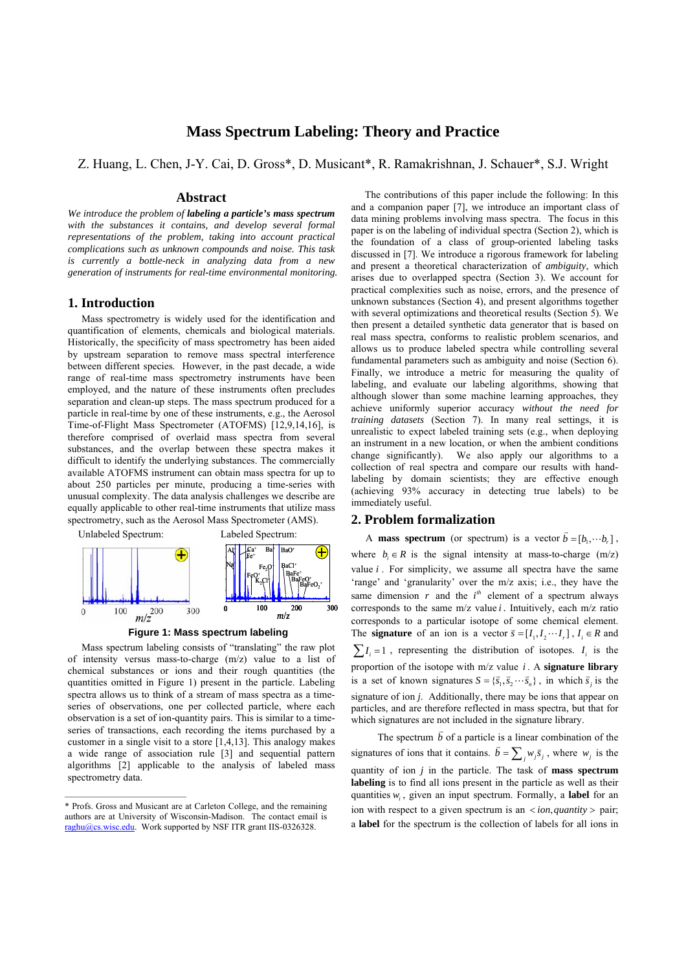# **Mass Spectrum Labeling: Theory and Practice**

Z. Huang, L. Chen, J-Y. Cai, D. Gross\*, D. Musicant\*, R. Ramakrishnan, J. Schauer\*, S.J. Wright

### **Abstract**

*We introduce the problem of labeling a particle's mass spectrum with the substances it contains, and develop several formal representations of the problem, taking into account practical complications such as unknown compounds and noise. This task is currently a bottle-neck in analyzing data from a new generation of instruments for real-time environmental monitoring.* 

### **1. Introduction**

Mass spectrometry is widely used for the identification and quantification of elements, chemicals and biological materials. Historically, the specificity of mass spectrometry has been aided by upstream separation to remove mass spectral interference between different species. However, in the past decade, a wide range of real-time mass spectrometry instruments have been employed, and the nature of these instruments often precludes separation and clean-up steps. The mass spectrum produced for a particle in real-time by one of these instruments, e.g., the Aerosol Time-of-Flight Mass Spectrometer (ATOFMS) [12,9,14,16], is therefore comprised of overlaid mass spectra from several substances, and the overlap between these spectra makes it difficult to identify the underlying substances. The commercially available ATOFMS instrument can obtain mass spectra for up to about 250 particles per minute, producing a time-series with unusual complexity. The data analysis challenges we describe are equally applicable to other real-time instruments that utilize mass spectrometry, such as the Aerosol Mass Spectrometer (AMS).





Mass spectrum labeling consists of "translating" the raw plot of intensity versus mass-to-charge (m/z) value to a list of chemical substances or ions and their rough quantities (the quantities omitted in Figure 1) present in the particle. Labeling spectra allows us to think of a stream of mass spectra as a timeseries of observations, one per collected particle, where each observation is a set of ion-quantity pairs. This is similar to a timeseries of transactions, each recording the items purchased by a customer in a single visit to a store [1,4,13]. This analogy makes a wide range of association rule [3] and sequential pattern algorithms [2] applicable to the analysis of labeled mass spectrometry data.

 $\mathcal{L}_\text{max}$ 

The contributions of this paper include the following: In this and a companion paper [7], we introduce an important class of data mining problems involving mass spectra. The focus in this paper is on the labeling of individual spectra (Section 2), which is the foundation of a class of group-oriented labeling tasks discussed in [7]. We introduce a rigorous framework for labeling and present a theoretical characterization of *ambiguity*, which arises due to overlapped spectra (Section 3). We account for practical complexities such as noise, errors, and the presence of unknown substances (Section 4), and present algorithms together with several optimizations and theoretical results (Section 5). We then present a detailed synthetic data generator that is based on real mass spectra, conforms to realistic problem scenarios, and allows us to produce labeled spectra while controlling several fundamental parameters such as ambiguity and noise (Section 6). Finally, we introduce a metric for measuring the quality of labeling, and evaluate our labeling algorithms, showing that although slower than some machine learning approaches, they achieve uniformly superior accuracy *without the need for training datasets* (Section 7). In many real settings, it is unrealistic to expect labeled training sets (e.g., when deploying an instrument in a new location, or when the ambient conditions change significantly). We also apply our algorithms to a collection of real spectra and compare our results with handlabeling by domain scientists; they are effective enough (achieving 93% accuracy in detecting true labels) to be immediately useful.

#### **2. Problem formalization**

A mass spectrum (or spectrum) is a vector  $\vec{b} = [b_1, \dots, b_r]$ , where  $b_i \in R$  is the signal intensity at mass-to-charge (m/z) value  $i$ . For simplicity, we assume all spectra have the same 'range' and 'granularity' over the m/z axis; i.e., they have the same dimension  $r$  and the  $i<sup>th</sup>$  element of a spectrum always corresponds to the same m/z value *i*. Intuitively, each m/z ratio corresponds to a particular isotope of some chemical element. The **signature** of an ion is a vector  $\vec{s} = [I_1, I_2 \cdots I_r]$ ,  $I_i \in R$  and  $\sum I_i = 1$ , representing the distribution of isotopes.  $I_i$  is the proportion of the isotope with m/z value *i* . A **signature library** is a set of known signatures  $S = {\overline{s_1}, \overline{s_2} \cdots \overline{s_n}}$ , in which  $\overline{s_j}$  is the signature of ion *j*. Additionally, there may be ions that appear on particles, and are therefore reflected in mass spectra, but that for which signatures are not included in the signature library.

The spectrum  $\vec{b}$  of a particle is a linear combination of the signatures of ions that it contains.  $\vec{b} = \sum_{i} w_i \vec{s}_i$ , where  $w_i$  is the quantity of ion *j* in the particle. The task of **mass spectrum labeling** is to find all ions present in the particle as well as their quantities *wi* , given an input spectrum. Formally, a **label** for an ion with respect to a given spectrum is an  $\langle \cdot | \cdot \rangle$  *ion, quantity*  $>$  pair; a **label** for the spectrum is the collection of labels for all ions in

<sup>\*</sup> Profs. Gross and Musicant are at Carleton College, and the remaining authors are at University of Wisconsin-Madison. The contact email is raghu@cs.wisc.edu. Work supported by NSF ITR grant IIS-0326328.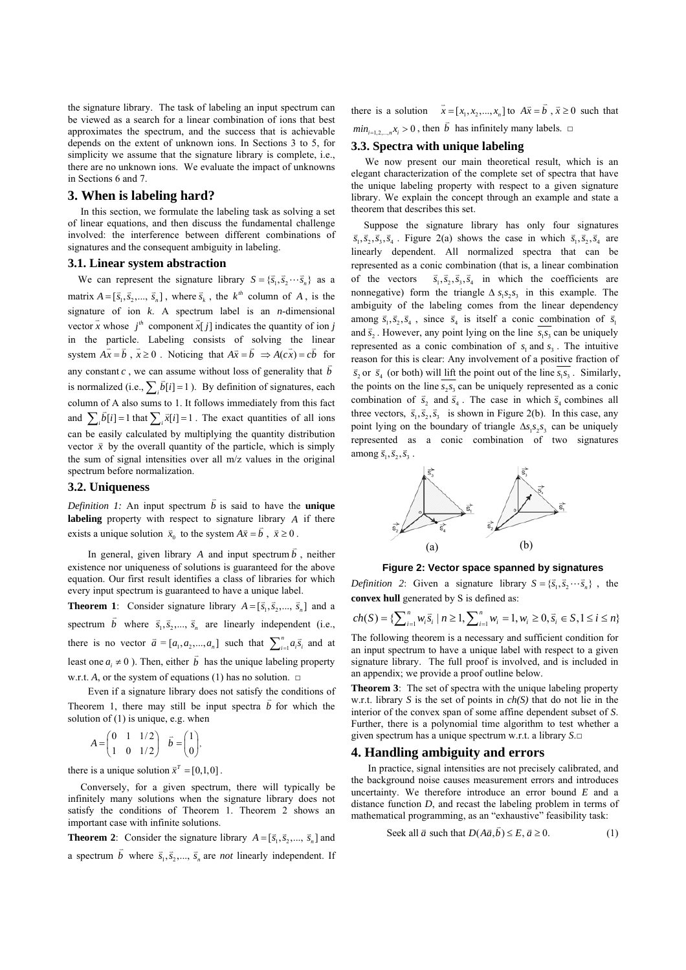the signature library. The task of labeling an input spectrum can be viewed as a search for a linear combination of ions that best approximates the spectrum, and the success that is achievable depends on the extent of unknown ions. In Sections 3 to 5, for simplicity we assume that the signature library is complete, i.e., there are no unknown ions. We evaluate the impact of unknowns in Sections 6 and 7.

## **3. When is labeling hard?**

 In this section, we formulate the labeling task as solving a set of linear equations, and then discuss the fundamental challenge involved: the interference between different combinations of signatures and the consequent ambiguity in labeling.

### **3.1. Linear system abstraction**

We can represent the signature library  $S = {\{\overline{s}_1, \overline{s}_2 \cdots \overline{s}_n\}}$  as a matrix  $A = [\bar{s}_1, \bar{s}_2, ..., \bar{s}_n]$ , where  $\bar{s}_k$ , the  $k^h$  column of *A*, is the signature of ion  $k$ . A spectrum label is an *n*-dimensional vector  $\bar{x}$  whose  $j^h$  component  $\bar{x}[j]$  indicates the quantity of ion *j* in the particle. Labeling consists of solving the linear system  $A\overline{x} = \overline{b}$ ,  $\overline{x} \ge 0$ . Noticing that  $A\overline{x} = \overline{b} \implies A(c\overline{x}) = c\overline{b}$  for any constant *c*, we can assume without loss of generality that  $\vec{b}$ is normalized (i.e.,  $\sum_i \vec{b}[i] = 1$ ). By definition of signatures, each column of A also sums to 1. It follows immediately from this fact and  $\sum_i \overline{b}[i] = 1$  that  $\sum_i \overline{x}[i] = 1$ . The exact quantities of all ions can be easily calculated by multiplying the quantity distribution vector  $\bar{x}$  by the overall quantity of the particle, which is simply the sum of signal intensities over all m/z values in the original spectrum before normalization.

### **3.2. Uniqueness**

*Definition 1:* An input spectrum  $\vec{b}$  is said to have the **unique labeling** property with respect to signature library *A* if there exists a unique solution  $\bar{x}_0$  to the system  $A\bar{x} = \bar{b}$ ,  $\bar{x} \ge 0$ .

In general, given library *A* and input spectrum  $\overrightarrow{b}$ , neither existence nor uniqueness of solutions is guaranteed for the above equation. Our first result identifies a class of libraries for which every input spectrum is guaranteed to have a unique label.

**Theorem 1**: Consider signature library  $A = [\vec{s}_1, \vec{s}_2, ..., \vec{s}_n]$  and a spectrum  $\vec{b}$  where  $\vec{s}_1, \vec{s}_2, ..., \vec{s}_n$  are linearly independent (i.e., there is no vector  $\vec{a} = [a_1, a_2, ..., a_n]$  such that  $\sum_{i=1}^{n} a_i \vec{s}_i$  and at least one  $a_i \neq 0$ ). Then, either  $\overrightarrow{b}$  has the unique labeling property w.r.t. *A*, or the system of equations (1) has no solution.  $\Box$ 

Even if a signature library does not satisfy the conditions of Theorem 1, there may still be input spectra *b* for which the solution of  $(1)$  is unique, e.g. when

$$
A = \begin{pmatrix} 0 & 1 & 1/2 \\ 1 & 0 & 1/2 \end{pmatrix} \quad \vec{b} = \begin{pmatrix} 1 \\ 0 \end{pmatrix},
$$

there is a unique solution  $\vec{x}^T = [0,1,0]$ .

 Conversely, for a given spectrum, there will typically be infinitely many solutions when the signature library does not satisfy the conditions of Theorem 1. Theorem 2 shows an important case with infinite solutions.

**Theorem 2**: Consider the signature library  $A = [\bar{s}_1, \bar{s}_2, ..., \bar{s}_n]$  and a spectrum  $\vec{b}$  where  $\vec{s}_1, \vec{s}_2, ..., \vec{s}_n$  are *not* linearly independent. If there is a solution  $\vec{x} = [x_1, x_2, ..., x_n]$  to  $A\vec{x} = \vec{b}$ ,  $\vec{x} \ge 0$  such that

 $min_{i=1,2,...,n} x_i > 0$ , then  $\overrightarrow{b}$  has infinitely many labels.  $\Box$ 

## **3.3. Spectra with unique labeling**

We now present our main theoretical result, which is an elegant characterization of the complete set of spectra that have the unique labeling property with respect to a given signature library. We explain the concept through an example and state a theorem that describes this set.

 Suppose the signature library has only four signatures  $\vec{s}_1, \vec{s}_2, \vec{s}_3, \vec{s}_4$ . Figure 2(a) shows the case in which  $\vec{s}_1, \vec{s}_2, \vec{s}_4$  are linearly dependent. All normalized spectra that can be represented as a conic combination (that is, a linear combination of the vectors  $\vec{s}_1, \vec{s}_2, \vec{s}_3, \vec{s}_4$  in which the coefficients are nonnegative) form the triangle  $\Delta s_1 s_2 s_3$  in this example. The ambiguity of the labeling comes from the linear dependency among  $\bar{s}_1, \bar{s}_2, \bar{s}_4$ , since  $\bar{s}_4$  is itself a conic combination of  $\bar{s}_1$ and  $\vec{s}_2$ . However, any point lying on the line  $\vec{s_1 s_3}$  can be uniquely represented as a conic combination of  $s_1$  and  $s_3$ . The intuitive reason for this is clear: Any involvement of a positive fraction of **EXECUTE:**  $\vec{s}_2$  or  $\vec{s}_4$  (or both) will lift the point out of the line  $\vec{s}_1 \vec{s}_3$ . Similarly, the points on the line  $s_2 s_3$  can be uniquely represented as a conic combination of  $\bar{s}_2$  and  $\bar{s}_4$ . The case in which  $\bar{s}_4$  combines all three vectors,  $\vec{s}_1, \vec{s}_2, \vec{s}_3$  is shown in Figure 2(b). In this case, any point lying on the boundary of triangle  $\Delta s_1 s_2 s_3$  can be uniquely represented as a conic combination of two signatures among  $\overline{s}_1$ ,  $\overline{s}_2$ ,  $\overline{s}_3$ .



**Figure 2: Vector space spanned by signatures** 

*Definition 2*: Given a signature library  $S = {\bar{s}_1, \bar{s}_2 \cdots \bar{s}_n}$ , the **convex hull** generated by S is defined as:

$$
ch(S) = \{ \sum_{i=1}^{n} w_i \vec{s}_i \mid n \ge 1, \sum_{i=1}^{n} w_i = 1, w_i \ge 0, \vec{s}_i \in S, 1 \le i \le n \}
$$

The following theorem is a necessary and sufficient condition for an input spectrum to have a unique label with respect to a given signature library. The full proof is involved, and is included in an appendix; we provide a proof outline below.

**Theorem 3**: The set of spectra with the unique labeling property w.r.t. library *S* is the set of points in *ch(S)* that do not lie in the interior of the convex span of some affine dependent subset of *S*. Further, there is a polynomial time algorithm to test whether a given spectrum has a unique spectrum w.r.t. a library *S*.□

#### **4. Handling ambiguity and errors**

 In practice, signal intensities are not precisely calibrated, and the background noise causes measurement errors and introduces uncertainty. We therefore introduce an error bound *E* and a distance function *D*, and recast the labeling problem in terms of mathematical programming, as an "exhaustive" feasibility task:

Seek all 
$$
\vec{a}
$$
 such that  $D(A\vec{a}, \vec{b}) \le E, \vec{a} \ge 0.$  (1)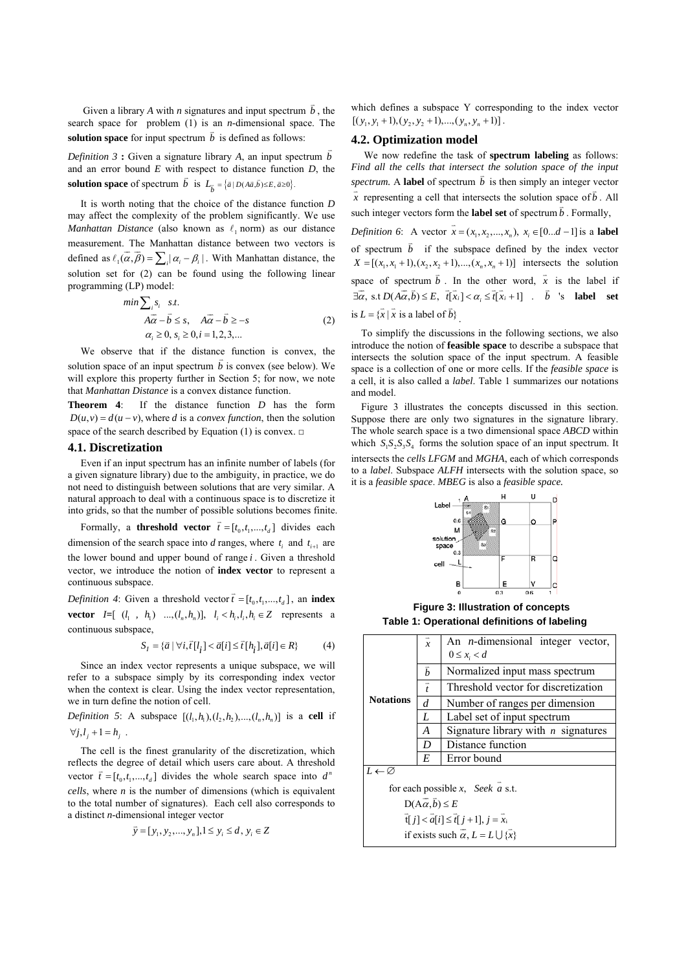Given a library *A* with *n* signatures and input spectrum  $\vec{b}$ , the search space for problem (1) is an *n*-dimensional space. The **solution space** for input spectrum *b* is defined as follows:

*Definition 3* : Given a signature library *A*, an input spectrum  $\overrightarrow{b}$ and an error bound  $E$  with respect to distance function  $D$ , the **solution space** of spectrum  $\vec{b}$  is  $L_{\vec{b}} = {\vec{a} \mid b(A\vec{a}, \vec{b}) \le E, \vec{a} \ge 0}.$ 

 It is worth noting that the choice of the distance function *<sup>D</sup>* may affect the complexity of the problem significantly. We use *Manhattan Distance* (also known as  $\ell_1$  norm) as our distance measurement. The Manhattan distance between two vectors is defined as  $\ell_1(\vec{\alpha}, \vec{\beta}) = \sum_i |\alpha_i - \beta_i|$ . With Manhattan distance, the solution set for (2) can be found using the following linear programming (LP) model:

$$
\min \sum_{i} s_i \quad s.t. \n\overline{A\alpha} - \overline{b} \le s, \quad \overline{A\alpha} - \overline{b} \ge -s \n\alpha_i \ge 0, \quad s_i \ge 0, \quad i = 1, 2, 3, \dots
$$
\n(2)

We observe that if the distance function is convex, the solution space of an input spectrum *b* is convex (see below). We will explore this property further in Section 5; for now, we note that *Manhattan Distance* is a convex distance function.

**Theorem 4**: If the distance function *D* has the form  $D(u, v) = d(u - v)$ , where *d* is a *convex function*, then the solution space of the search described by Equation (1) is convex.  $\Box$ 

### **4.1. Discretization**

 Even if an input spectrum has an infinite number of labels (for a given signature library) due to the ambiguity, in practice, we do not need to distinguish between solutions that are very similar. A natural approach to deal with a continuous space is to discretize it into grids, so that the number of possible solutions becomes finite.

Formally, a **threshold vector**  $\vec{t} = [t_0, t_1, ..., t_d]$  divides each dimension of the search space into *d* ranges, where  $t_i$  and  $t_{i+1}$  are the lower bound and upper bound of range *i* . Given a threshold vector, we introduce the notion of **index vector** to represent a continuous subspace.

*Definition 4*: Given a threshold vector  $\vec{t} = [t_0, t_1, ..., t_d]$ , an **index vector**  $I = [ (l_1, h_1), ..., (l_n, h_n)], \quad l_i < h_i, l_i, h_i \in \mathbb{Z}$  represents a continuous subspace,

$$
S_{I} = \{\vec{a} \mid \forall i, \vec{t} \left[ l_{i} \right] < \vec{a}[i] \leq \vec{t} \left[ h_{i} \right], \vec{a}[i] \in R \} \tag{4}
$$

 Since an index vector represents a unique subspace, we will refer to a subspace simply by its corresponding index vector when the context is clear. Using the index vector representation, we in turn define the notion of cell.

*Definition 5*: A subspace  $[(l_1, h_1), (l_2, h_2), ..., (l_n, h_n)]$  is a **cell** if  $\forall j, l_j + 1 = h_i$ .

 The cell is the finest granularity of the discretization, which reflects the degree of detail which users care about. A threshold vector  $\vec{t} = [t_0, t_1, ..., t_d]$  divides the whole search space into  $d^n$ *cells*, where *n* is the number of dimensions (which is equivalent to the total number of signatures). Each cell also corresponds to a distinct *n*-dimensional integer vector

$$
\vec{y} = [y_1, y_2, ..., y_n], 1 \le y_i \le d, y_i \in Z
$$

which defines a subspace Y corresponding to the index vector  $[(y_1, y_1 + 1), (y_2, y_2 + 1), ..., (y_n, y_n + 1)].$ 

#### **4.2. Optimization model**

 We now redefine the task of **spectrum labeling** as follows: Find all the cells that intersect the solution space of the input *spectrum.* A **label** of spectrum *b* is then simply an integer vector  $\vec{x}$  representing a cell that intersects the solution space of *b*. All such integer vectors form the **label set** of spectrum  $\overline{b}$ . Formally, *Definition 6*: A vector  $\bar{x} = (x_1, x_2, ..., x_n), x_i \in [0...d-1]$  is a **label** 

of spectrum  $\vec{b}$  if the subspace defined by the index vector  $X = [(x_1, x_1 + 1), (x_2, x_2 + 1), ..., (x_n, x_n + 1)]$  intersects the solution space of spectrum  $\vec{b}$ . In the other word,  $\vec{x}$  is the label if  $\exists \overline{\alpha}$ , s.t  $D(A\overline{\alpha}, \overline{b}) \le E$ ,  $\overline{t}[\overline{x}_i] < \alpha_i \le \overline{t}[\overline{x}_i + 1]$ .  $\overline{b}$  's **label set** is  $L = {\overline{x} | \overline{x} \text{ is a label of } \overline{b}}$ .

To simplify the discussions in the following sections, we also introduce the notion of **feasible space** to describe a subspace that intersects the solution space of the input spectrum. A feasible space is a collection of one or more cells. If the *feasible space* is a cell, it is also called a *label*. Table 1 summarizes our notations and model.

Figure 3 illustrates the concepts discussed in this section. Suppose there are only two signatures in the signature library. The whole search space is a two dimensional space *ABCD* within which  $S_1S_2S_3S_4$  forms the solution space of an input spectrum. It intersects the *cells LFGM* and *MGHA*, each of which corresponds to a *label*. Subspace *ALFH* intersects with the solution space, so it is a *feasible space*. *MBEG* is also a *feasible space.*



**Figure 3: Illustration of concepts Table 1: Operational definitions of labeling**

|                                                | $\bar{x}$ | An $n$ -dimensional integer vector,   |  |  |
|------------------------------------------------|-----------|---------------------------------------|--|--|
| <b>Notations</b>                               |           | $0 \leq x_i < d$                      |  |  |
|                                                | $\vec{b}$ | Normalized input mass spectrum        |  |  |
|                                                | $\bar{t}$ | Threshold vector for discretization   |  |  |
|                                                | d         | Number of ranges per dimension        |  |  |
|                                                | L         | Label set of input spectrum           |  |  |
|                                                | A         | Signature library with $n$ signatures |  |  |
|                                                | D         | Distance function                     |  |  |
|                                                | E         | Error bound                           |  |  |
| $L \leftarrow \varnothing$                     |           |                                       |  |  |
| for each possible $x$ , Seek $a$ s.t.          |           |                                       |  |  |
| $D(A\overline{\alpha},\overline{b}) \leq E$    |           |                                       |  |  |
| $\bar{t}[j] < a[i] \leq \bar{t}[j+1], j = x_i$ |           |                                       |  |  |
| if exists such $\alpha$ , $L = L \cup \{x\}$   |           |                                       |  |  |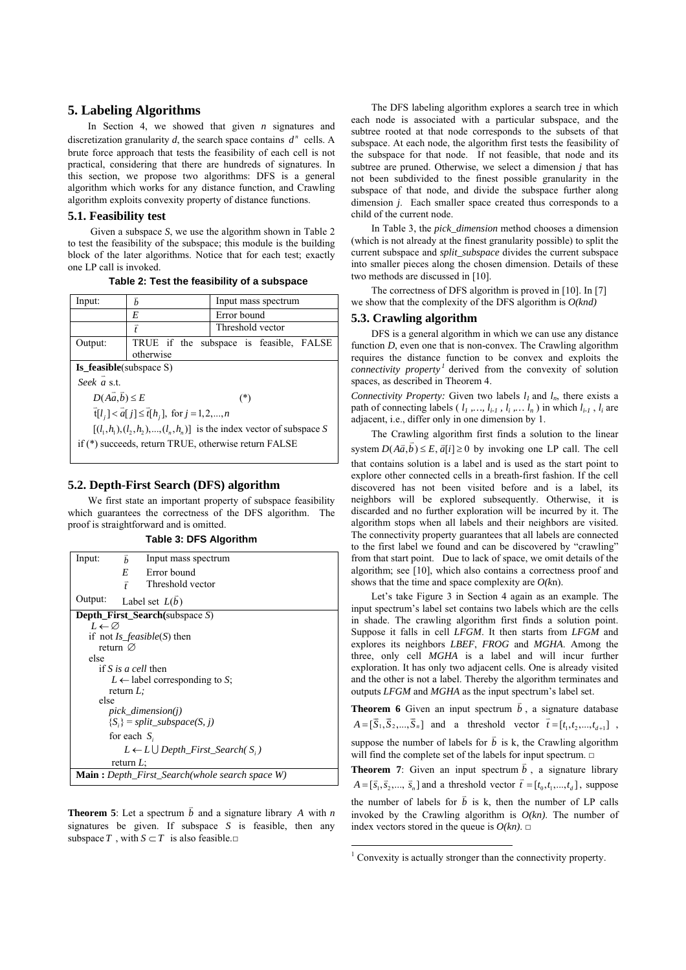## **5. Labeling Algorithms**

In Section 4, we showed that given *n* signatures and discretization granularity *d*, the search space contains  $d^n$  cells. A brute force approach that tests the feasibility of each cell is not practical, considering that there are hundreds of signatures. In this section, we propose two algorithms: DFS is a general algorithm which works for any distance function, and Crawling algorithm exploits convexity property of distance functions.

### **5.1. Feasibility test**

 Given a subspace *S*, we use the algorithm shown in Table 2 to test the feasibility of the subspace; this module is the building block of the later algorithms. Notice that for each test; exactly one LP call is invoked.

**Table 2: Test the feasibility of a subspace** 

| Input:                                                                  | $\bar{h}$      | Input mass spectrum                     |  |  |  |
|-------------------------------------------------------------------------|----------------|-----------------------------------------|--|--|--|
|                                                                         | E              | Error bound                             |  |  |  |
|                                                                         | $\overline{t}$ | Threshold vector                        |  |  |  |
| Output:                                                                 |                | TRUE if the subspace is feasible, FALSE |  |  |  |
|                                                                         | otherwise      |                                         |  |  |  |
| $Is$ feasible(subspace S)                                               |                |                                         |  |  |  |
| Seek $\bar{a}$ s.t.                                                     |                |                                         |  |  |  |
| $D(\overline{Aa}, \overline{b}) \leq E$<br>$(*)$                        |                |                                         |  |  |  |
| $\vec{t}[l_i] < \vec{a}[j] \leq \vec{t}[h_i]$ , for $j = 1, 2, , n$     |                |                                         |  |  |  |
| $[(l_1,h_1), (l_2,h_2), , (l_n,h_n)]$ is the index vector of subspace S |                |                                         |  |  |  |

if (\*) succee ds, return TRUE, otherwise return FALSE

#### **5.2. Depth-First Search (DFS) algorithm**

We first state an important property of subspace feasibility which guarantees the correctness of the DFS algorithm. The proof is straightforward and is omitted.

**Table 3: DFS Algorithm** 

| Input:<br>$\bar{b}$                      | Input mass spectrum                                    |  |
|------------------------------------------|--------------------------------------------------------|--|
| E                                        | Error bound                                            |  |
| $\vec{t}$                                | Threshold vector                                       |  |
| Output:                                  | Label set $L(b)$                                       |  |
|                                          | <b>Depth_First_Search</b> (subspace $S$ )              |  |
| $L \leftarrow \varnothing$               |                                                        |  |
| if not Is <i>feasible</i> (S) then       |                                                        |  |
| return ∅                                 |                                                        |  |
| else                                     |                                                        |  |
| if S is a cell then                      |                                                        |  |
| $L \leftarrow$ label corresponding to S; |                                                        |  |
| return $L$ :                             |                                                        |  |
| else                                     |                                                        |  |
| $pick\_dimension(i)$                     |                                                        |  |
| $\{S_i\}$ = split_subspace(S, j)         |                                                        |  |
| for each $S_i$                           |                                                        |  |
|                                          | $L \leftarrow L \cup Depth\_First\_Search(S_i)$        |  |
| return $L$ ;                             |                                                        |  |
|                                          | <b>Main</b> : Depth_First_Search(whole search space W) |  |

**Theorem 5**: Let a spectrum  $\vec{b}$  and a signature library *A* with *n* signatures be given. If subspace *S* is feasible, then any subspace *T*, with  $S \subset T$  is also feasible. $\Box$ 

The DFS labeling algorithm explores a search tree in which each node is associated with a particular subspace, and the subtree rooted at that node corresponds to the subsets of that subspace. At each node, the algorithm first tests the feasibility of the subspace for that node. If not feasible, that node and its subtree are pruned. Otherwise, we select a dimension *j* that has not been subdivided to the finest possible granularity in the subspace of that node, and divide the subspace further along dimension *j*. Each smaller space created thus corresponds to a child of the current node.

In Table 3, the *pick\_dimension* method chooses a dimension (which is not already at the finest granularity possible) to split the current subspace and *split\_subspace* divides the current subspace into smaller pieces along the chosen dimension. Details of these two methods are discussed in [10].

The correctness of DFS algorithm is proved in [10]. In [7] we show that the complexity of the DFS algorithm is *O(knd)*

## **5.3. Crawling algorithm**

DFS is a general algorithm in which we can use any distance function *D*, even one that is non-convex. The Crawling algorithm requires the distance function to be convex and exploits the *connectivity property <sup>1</sup>* derived from the convexity of solution spaces, as described in Theorem 4.

*Connectivity Property:* Given two labels  $l_1$  and  $l_n$ , there exists a path of connecting labels ( $l_1$ ,...,  $l_{i-1}$ ,  $l_i$ ,...  $l_n$ ) in which  $l_{i-1}$ ,  $l_i$  are adjacent, i.e., differ only in one dimension by 1.

The Crawling algorithm first finds a solution to the linear system  $D(A\vec{a}, \vec{b}) \leq E$ ,  $\vec{a}[i] \geq 0$  by invoking one LP call. The cell that contains solution is a label and is used as the start point to explore other connected cells in a breath-first fashion. If the cell discovered has not been visited before and is a label, its neighbors will be explored subsequently. Otherwise, it is discarded and no further exploration will be incurred by it. The algorithm stops when all labels and their neighbors are visited. The connectivity property guarantees that all labels are connected to the first label we found and can be discovered by "crawling" from that start point. Due to lack of space, we omit details of the algorithm; see [10], which also contains a correctness proof and shows that the time and space complexity are *O(k*n).

Let's take Figure 3 in Section 4 again as an example. The input spectrum's label set contains two labels which are the cells in shade. The crawling algorithm first finds a solution point. Suppose it falls in cell *LFGM*. It then starts from *LFGM* and explores its neighbors *LBEF*, *FROG* and *MGHA*. Among the three, only cell *MGHA* is a label and will incur further exploration. It has only two adjacent cells. One is already visited and the other is not a label. Thereby the algorithm terminates and outputs *LFGM* and *MGHA* as the input spectrum's label set.

**Theorem 6** Given an input spectrum  $\overrightarrow{b}$ , a signature database

 $A = [\bar{S}_1, \bar{S}_2, ..., \bar{S}_n]$  and a threshold vector  $\vec{t} = [t_1, t_2, ..., t_{d+1}]$ , suppose the number of labels for  $\vec{b}$  is k, the Crawling algorithm

will find the complete set of the labels for input spectrum.  $\Box$ 

**Theorem 7**: Given an input spectrum *b* , a signature library  $A = [\bar{s}_1, \bar{s}_2, ..., \bar{s}_n]$  and a threshold vector  $\bar{t} = [t_0, t_1, ..., t_d]$ , suppose the number of labels for  $\vec{b}$  is k, then the number of LP calls invoked by the Crawling algorithm is *O(kn)*. The number of

index vectors stored in the queue is  $O(kn)$ .  $\square$ 

l

 $1$  Convexity is actually stronger than the connectivity property.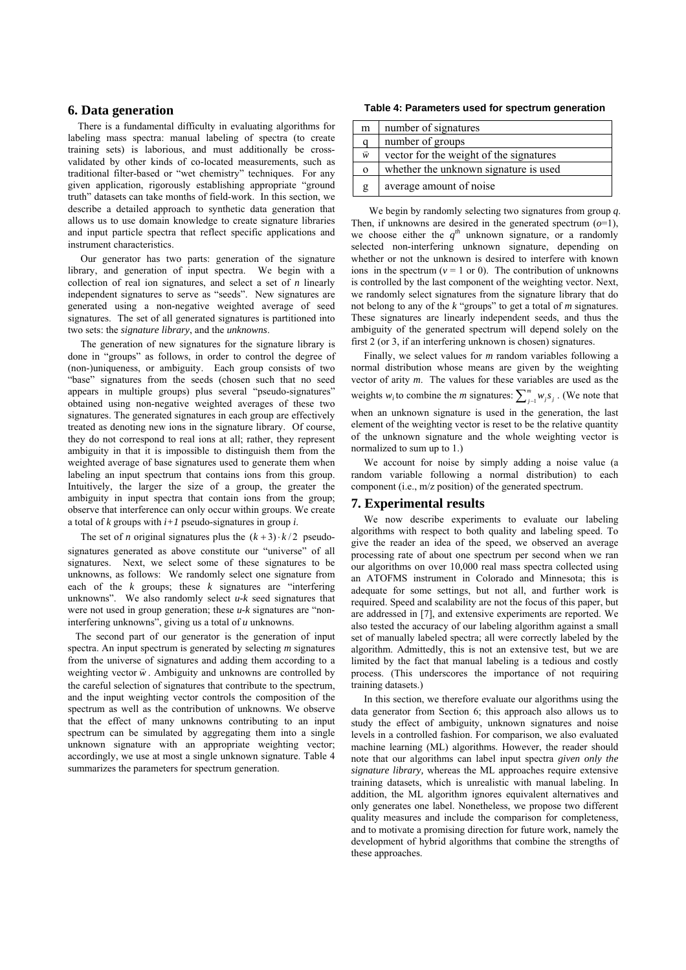### **6. Data generation**

There is a fundamental difficulty in evaluating algorithms for labeling mass spectra: manual labeling of spectra (to create training sets) is laborious, and must additionally be crossvalidated by other kinds of co-located measurements, such as traditional filter-based or "wet chemistry" techniques. For any given application, rigorously establishing appropriate "ground truth" datasets can take months of field-work. In this section, we describe a detailed approach to synthetic data generation that allows us to use domain knowledge to create signature libraries and input particle spectra that reflect specific applications and instrument characteristics.

 Our generator has two parts: generation of the signature library, and generation of input spectra. We begin with a collection of real ion signatures, and select a set of *n* linearly independent signatures to serve as "seeds". New signatures are generated using a non-negative weighted average of seed signatures. The set of all generated signatures is partitioned into two sets: the *signature library*, and the *unknowns*.

 The generation of new signatures for the signature library is done in "groups" as follows, in order to control the degree of (non-)uniqueness, or ambiguity. Each group consists of two "base" signatures from the seeds (chosen such that no seed appears in multiple groups) plus several "pseudo-signatures" obtained using non-negative weighted averages of these two signatures. The generated signatures in each group are effectively treated as denoting new ions in the signature library. Of course, they do not correspond to real ions at all; rather, they represent ambiguity in that it is impossible to distinguish them from the weighted average of base signatures used to generate them when labeling an input spectrum that contains ions from this group. Intuitively, the larger the size of a group, the greater the ambiguity in input spectra that contain ions from the group; observe that interference can only occur within groups. We create a total of *k* groups with *i+1* pseudo-signatures in group *i*.

The set of *n* original signatures plus the  $(k+3) \cdot k/2$  pseudosignatures generated as above constitute our "universe" of all signatures. Next, we select some of these signatures to be unknowns, as follows: We randomly select one signature from each of the *k* groups; these *k* signatures are "interfering unknowns". We also randomly select *u-k* seed signatures that were not used in group generation; these *u-k* signatures are "noninterfering unknowns", giving us a total of *u* unknowns.

 The second part of our generator is the generation of input spectra. An input spectrum is generated by selecting *m* signatures from the universe of signatures and adding them according to a weighting vector  $\vec{w}$ . Ambiguity and unknowns are controlled by the careful selection of signatures that contribute to the spectrum, and the input weighting vector controls the composition of the spectrum as well as the contribution of unknowns. We observe that the effect of many unknowns contributing to an input spectrum can be simulated by aggregating them into a single unknown signature with an appropriate weighting vector; accordingly, we use at most a single unknown signature. Table 4 summarizes the parameters for spectrum generation.

**Table 4: Parameters used for spectrum generation**

| m            | number of signatures                    |
|--------------|-----------------------------------------|
|              | number of groups                        |
| $\bar{w}$    | vector for the weight of the signatures |
| $\mathbf{O}$ | whether the unknown signature is used   |
| g            | average amount of noise                 |

 We begin by randomly selecting two signatures from group *q*. Then, if unknowns are desired in the generated spectrum  $(o=1)$ , we choose either the  $q^{th}$  unknown signature, or a randomly selected non-interfering unknown signature, depending on whether or not the unknown is desired to interfere with known ions in the spectrum ( $v = 1$  or 0). The contribution of unknowns is controlled by the last component of the weighting vector. Next, we randomly select signatures from the signature library that do not belong to any of the *k* "groups" to get a total of *m* signatures. These signatures are linearly independent seeds, and thus the ambiguity of the generated spectrum will depend solely on the first 2 (or 3, if an interfering unknown is chosen) signatures.

 Finally, we select values for *m* random variables following a normal distribution whose means are given by the weighting vector of arity *m*. The values for these variables are used as the weights *w<sub>i</sub>* to combine the *m* signatures:  $\sum_{j=1}^{m} w_j s_j$ . (We note that when an unknown signature is used in the generation, the last element of the weighting vector is reset to be the relative quantity of the unknown signature and the whole weighting vector is normalized to sum up to 1.)

 We account for noise by simply adding a noise value (a random variable following a normal distribution) to each component (i.e., m/z position) of the generated spectrum.

#### **7. Experimental results**

 We now describe experiments to evaluate our labeling algorithms with respect to both quality and labeling speed. To give the reader an idea of the speed, we observed an average processing rate of about one spectrum per second when we ran our algorithms on over 10,000 real mass spectra collected using an ATOFMS instrument in Colorado and Minnesota; this is adequate for some settings, but not all, and further work is required. Speed and scalability are not the focus of this paper, but are addressed in [7], and extensive experiments are reported. We also tested the accuracy of our labeling algorithm against a small set of manually labeled spectra; all were correctly labeled by the algorithm. Admittedly, this is not an extensive test, but we are limited by the fact that manual labeling is a tedious and costly process. (This underscores the importance of not requiring training datasets.)

 In this section, we therefore evaluate our algorithms using the data generator from Section 6; this approach also allows us to study the effect of ambiguity, unknown signatures and noise levels in a controlled fashion. For comparison, we also evaluated machine learning (ML) algorithms. However, the reader should note that our algorithms can label input spectra *given only the signature library,* whereas the ML approaches require extensive training datasets, which is unrealistic with manual labeling. In addition, the ML algorithm ignores equivalent alternatives and only generates one label. Nonetheless, we propose two different quality measures and include the comparison for completeness, and to motivate a promising direction for future work, namely the development of hybrid algorithms that combine the strengths of these approaches.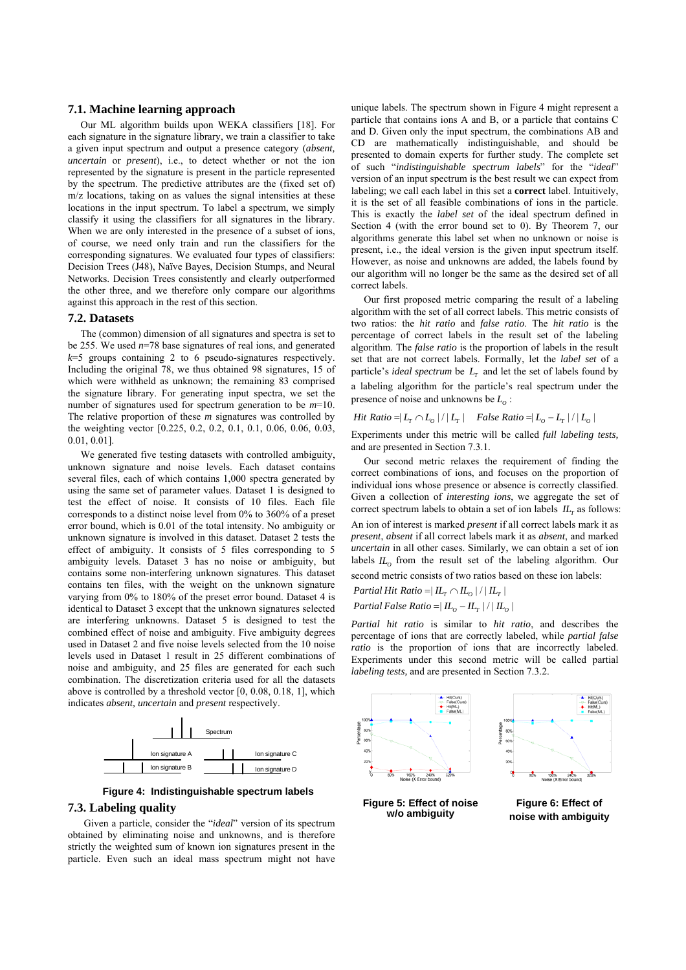#### **7.1. Machine learning approach**

 Our ML algorithm builds upon WEKA classifiers [18]. For each signature in the signature library, we train a classifier to take a given input spectrum and output a presence category (*absent, uncertain* or *present*), i.e., to detect whether or not the ion represented by the signature is present in the particle represented by the spectrum. The predictive attributes are the (fixed set of) m/z locations, taking on as values the signal intensities at these locations in the input spectrum. To label a spectrum, we simply classify it using the classifiers for all signatures in the library. When we are only interested in the presence of a subset of ions, of course, we need only train and run the classifiers for the corresponding signatures. We evaluated four types of classifiers: Decision Trees (J48), Naïve Bayes, Decision Stumps, and Neural Networks. Decision Trees consistently and clearly outperformed the other three, and we therefore only compare our algorithms against this approach in the rest of this section.

#### **7.2. Datasets**

 The (common) dimension of all signatures and spectra is set to be 255. We used *n*=78 base signatures of real ions, and generated *k*=5 groups containing 2 to 6 pseudo-signatures respectively. Including the original 78, we thus obtained 98 signatures, 15 of which were withheld as unknown; the remaining 83 comprised the signature library. For generating input spectra, we set the number of signatures used for spectrum generation to be *m*=10. The relative proportion of these *m* signatures was controlled by the weighting vector [0.225, 0.2, 0.2, 0.1, 0.1, 0.06, 0.06, 0.03, 0.01, 0.01].

 We generated five testing datasets with controlled ambiguity, unknown signature and noise levels. Each dataset contains several files, each of which contains 1,000 spectra generated by using the same set of parameter values. Dataset 1 is designed to test the effect of noise. It consists of 10 files. Each file corresponds to a distinct noise level from 0% to 360% of a preset error bound, which is 0.01 of the total intensity. No ambiguity or unknown signature is involved in this dataset. Dataset 2 tests the effect of ambiguity. It consists of 5 files corresponding to 5 ambiguity levels. Dataset 3 has no noise or ambiguity, but contains some non-interfering unknown signatures. This dataset contains ten files, with the weight on the unknown signature varying from 0% to 180% of the preset error bound. Dataset 4 is identical to Dataset 3 except that the unknown signatures selected are interfering unknowns. Dataset 5 is designed to test the combined effect of noise and ambiguity. Five ambiguity degrees used in Dataset 2 and five noise levels selected from the 10 noise levels used in Dataset 1 result in 25 different combinations of noise and ambiguity, and 25 files are generated for each such combination. The discretization criteria used for all the datasets above is controlled by a threshold vector [0, 0.08, 0.18, 1], which indicates *absent, uncertain* and *present* respectively.



**Figure 4: Indistinguishable spectrum labels**

#### **7.3. Labeling quality**

 Given a particle, consider the "*ideal*" version of its spectrum obtained by eliminating noise and unknowns, and is therefore strictly the weighted sum of known ion signatures present in the particle. Even such an ideal mass spectrum might not have

unique labels. The spectrum shown in Figure 4 might represent a particle that contains ions A and B, or a particle that contains C and D. Given only the input spectrum, the combinations AB and CD are mathematically indistinguishable, and should be presented to domain experts for further study. The complete set of such "*indistinguishable spectrum labels*" for the "*ideal*" version of an input spectrum is the best result we can expect from labeling; we call each label in this set a **correct** label. Intuitively, it is the set of all feasible combinations of ions in the particle. This is exactly the *label set* of the ideal spectrum defined in Section 4 (with the error bound set to 0). By Theorem 7, our algorithms generate this label set when no unknown or noise is present, i.e., the ideal version is the given input spectrum itself. However, as noise and unknowns are added, the labels found by our algorithm will no longer be the same as the desired set of all correct labels.

 Our first proposed metric comparing the result of a labeling algorithm with the set of all correct labels. This metric consists of two ratios: the *hit ratio* and *false ratio*. The *hit ratio* is the percentage of correct labels in the result set of the labeling algorithm. The *false ratio* is the proportion of labels in the result set that are not correct labels. Formally, let the *label set* of a particle's *ideal spectrum* be  $L<sub>r</sub>$  and let the set of labels found by a labeling algorithm for the particle's real spectrum under the presence of noise and unknowns be  $L_0$ :

*Hit Ratio* = 
$$
|L_r \cap L_o| / |L_r|
$$
 *False Ratio* =  $|L_o - L_r| / |L_o|$ 

Experiments under this metric will be called *full labeling tests,* and are presented in Section 7.3.1.

 Our second metric relaxes the requirement of finding the correct combinations of ions, and focuses on the proportion of individual ions whose presence or absence is correctly classified. Given a collection of *interesting ions*, we aggregate the set of correct spectrum labels to obtain a set of ion labels  $IL<sub>r</sub>$  as follows: An ion of interest is marked *present* if all correct labels mark it as *present*, *absent* if all correct labels mark it as *absent*, and marked *uncertain* in all other cases. Similarly, we can obtain a set of ion labels  $IL_0$  from the result set of the labeling algorithm. Our second metric consists of two ratios based on these ion labels:

Partial Hit Ratio = 
$$
|L_T \cap L_0| / |L_T|
$$
  
Partial False Ratio =  $|L_0 - L_T| / |L_0|$ 

*Partial hit ratio* is similar to *hit ratio*, and describes the percentage of ions that are correctly labeled, while *partial false ratio* is the proportion of ions that are incorrectly labeled. Experiments under this second metric will be called partial *labeling tests,* and are presented in Section 7.3.2.



**Figure 5: Effect of noise w/o ambiguity**

**Figure 6: Effect of noise with ambiguity**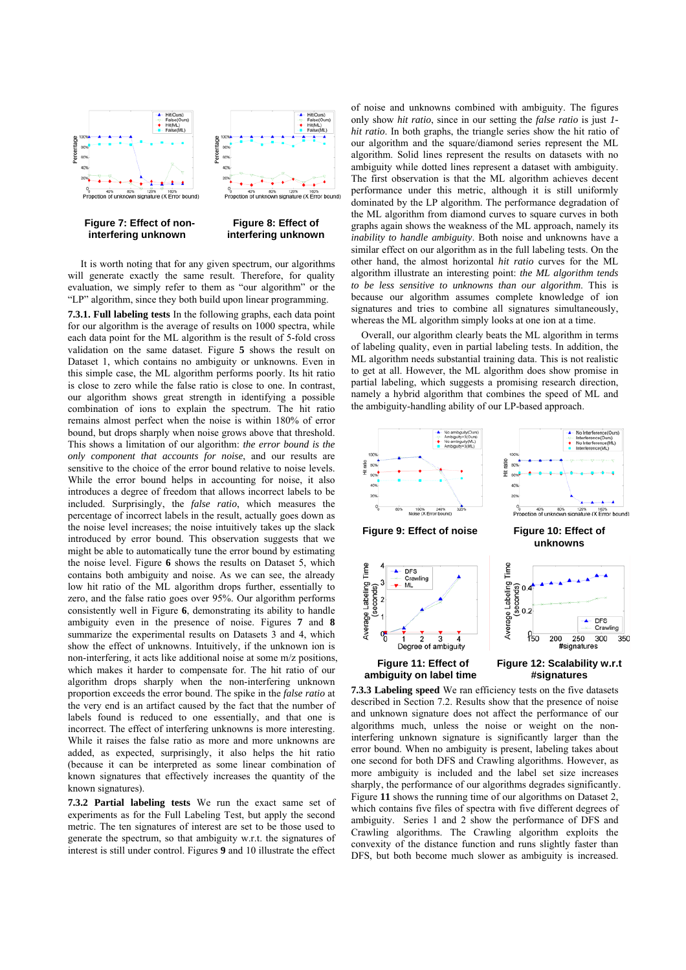

 It is worth noting that for any given spectrum, our algorithms will generate exactly the same result. Therefore, for quality evaluation, we simply refer to them as "our algorithm" or the "LP" algorithm, since they both build upon linear programming.

**7.3.1. Full labeling tests** In the following graphs, each data point for our algorithm is the average of results on 1000 spectra, while each data point for the ML algorithm is the result of 5-fold cross validation on the same dataset. Figure **5** shows the result on Dataset 1, which contains no ambiguity or unknowns. Even in this simple case, the ML algorithm performs poorly. Its hit ratio is close to zero while the false ratio is close to one. In contrast, our algorithm shows great strength in identifying a possible combination of ions to explain the spectrum. The hit ratio remains almost perfect when the noise is within 180% of error bound, but drops sharply when noise grows above that threshold. This shows a limitation of our algorithm: *the error bound is the only component that accounts for noise*, and our results are sensitive to the choice of the error bound relative to noise levels. While the error bound helps in accounting for noise, it also introduces a degree of freedom that allows incorrect labels to be included. Surprisingly, the *false ratio*, which measures the percentage of incorrect labels in the result, actually goes down as the noise level increases; the noise intuitively takes up the slack introduced by error bound. This observation suggests that we might be able to automatically tune the error bound by estimating the noise level. Figure **6** shows the results on Dataset 5, which contains both ambiguity and noise. As we can see, the already low hit ratio of the ML algorithm drops further, essentially to zero, and the false ratio goes over 95%. Our algorithm performs consistently well in Figure **6**, demonstrating its ability to handle ambiguity even in the presence of noise. Figures **7** and **8** summarize the experimental results on Datasets 3 and 4, which show the effect of unknowns. Intuitively, if the unknown ion is non-interfering, it acts like additional noise at some m/z positions, which makes it harder to compensate for. The hit ratio of our algorithm drops sharply when the non-interfering unknown proportion exceeds the error bound. The spike in the *false ratio* at the very end is an artifact caused by the fact that the number of labels found is reduced to one essentially, and that one is incorrect. The effect of interfering unknowns is more interesting. While it raises the false ratio as more and more unknowns are added, as expected, surprisingly, it also helps the hit ratio (because it can be interpreted as some linear combination of known signatures that effectively increases the quantity of the known signatures).

**7.3.2 Partial labeling tests** We run the exact same set of experiments as for the Full Labeling Test, but apply the second metric. The ten signatures of interest are set to be those used to generate the spectrum, so that ambiguity w.r.t. the signatures of interest is still under control. Figures **9** and 10 illustrate the effect

of noise and unknowns combined with ambiguity. The figures only show *hit ratio*, since in our setting the *false ratio* is just *1 hit ratio*. In both graphs, the triangle series show the hit ratio of our algorithm and the square/diamond series represent the ML algorithm. Solid lines represent the results on datasets with no ambiguity while dotted lines represent a dataset with ambiguity. The first observation is that the ML algorithm achieves decent performance under this metric, although it is still uniformly dominated by the LP algorithm. The performance degradation of the ML algorithm from diamond curves to square curves in both graphs again shows the weakness of the ML approach, namely its *inability to handle ambiguity*. Both noise and unknowns have a similar effect on our algorithm as in the full labeling tests. On the other hand, the almost horizontal *hit ratio* curves for the ML algorithm illustrate an interesting point: *the ML algorithm tends to be less sensitive to unknowns than our algorithm*. This is because our algorithm assumes complete knowledge of ion signatures and tries to combine all signatures simultaneously, whereas the ML algorithm simply looks at one ion at a time.

 Overall, our algorithm clearly beats the ML algorithm in terms of labeling quality, even in partial labeling tests. In addition, the ML algorithm needs substantial training data. This is not realistic to get at all. However, the ML algorithm does show promise in partial labeling, which suggests a promising research direction, namely a hybrid algorithm that combines the speed of ML and the ambiguity-handling ability of our LP-based approach.



**7.3.3 Labeling speed** We ran efficiency tests on the five datasets described in Section 7.2. Results show that the presence of noise and unknown signature does not affect the performance of our algorithms much, unless the noise or weight on the noninterfering unknown signature is significantly larger than the error bound. When no ambiguity is present, labeling takes about one second for both DFS and Crawling algorithms. However, as more ambiguity is included and the label set size increases sharply, the performance of our algorithms degrades significantly. Figure **11** shows the running time of our algorithms on Dataset 2, which contains five files of spectra with five different degrees of ambiguity. Series 1 and 2 show the performance of DFS and Crawling algorithms. The Crawling algorithm exploits the convexity of the distance function and runs slightly faster than DFS, but both become much slower as ambiguity is increased.